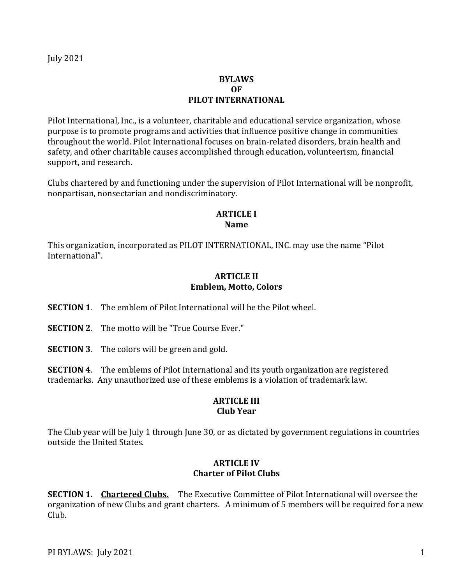## **BYLAWS OF PILOT INTERNATIONAL**

Pilot International, Inc., is a volunteer, charitable and educational service organization, whose purpose is to promote programs and activities that influence positive change in communities throughout the world. Pilot International focuses on brain-related disorders, brain health and safety, and other charitable causes accomplished through education, volunteerism, financial support, and research.

Clubs chartered by and functioning under the supervision of Pilot International will be nonprofit, nonpartisan, nonsectarian and nondiscriminatory.

#### **ARTICLE I Name**

This organization, incorporated as PILOT INTERNATIONAL, INC. may use the name "Pilot International".

### **ARTICLE II Emblem, Motto, Colors**

**SECTION 1**. The emblem of Pilot International will be the Pilot wheel.

- **SECTION 2.** The motto will be "True Course Ever."
- **SECTION 3**. The colors will be green and gold.

**SECTION 4**. The emblems of Pilot International and its youth organization are registered trademarks. Any unauthorized use of these emblems is a violation of trademark law.

#### **ARTICLE III Club Year**

The Club year will be July 1 through June 30, or as dictated by government regulations in countries outside the United States.

#### **ARTICLE IV Charter of Pilot Clubs**

**SECTION 1. Chartered Clubs.** The Executive Committee of Pilot International will oversee the organization of new Clubs and grant charters. A minimum of 5 members will be required for a new Club.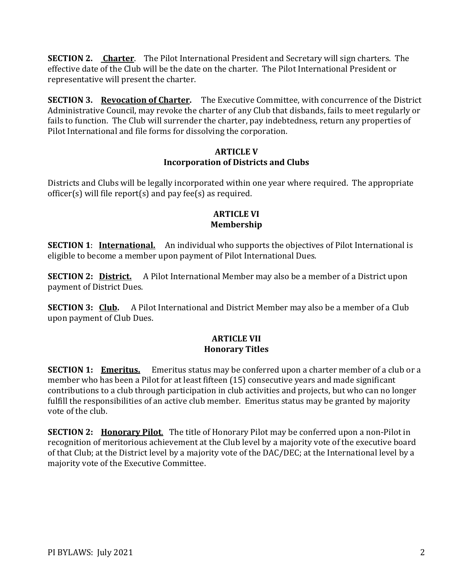**SECTION 2. Charter**. The Pilot International President and Secretary will sign charters. The effective date of the Club will be the date on the charter. The Pilot International President or representative will present the charter.

**SECTION 3. Revocation of Charter.** The Executive Committee, with concurrence of the District Administrative Council, may revoke the charter of any Club that disbands, fails to meet regularly or fails to function. The Club will surrender the charter, pay indebtedness, return any properties of Pilot International and file forms for dissolving the corporation.

### **ARTICLE V Incorporation of Districts and Clubs**

Districts and Clubs will be legally incorporated within one year where required. The appropriate officer(s) will file report(s) and pay fee(s) as required.

## **ARTICLE VI Membership**

**SECTION 1:** International. An individual who supports the objectives of Pilot International is eligible to become a member upon payment of Pilot International Dues.

**SECTION 2: District.** A Pilot International Member may also be a member of a District upon payment of District Dues.

**SECTION 3: Club.** A Pilot International and District Member may also be a member of a Club upon payment of Club Dues.

## **ARTICLE VII Honorary Titles**

**SECTION 1: Emeritus.** Emeritus status may be conferred upon a charter member of a club or a member who has been a Pilot for at least fifteen (15) consecutive years and made significant contributions to a club through participation in club activities and projects, but who can no longer fulfill the responsibilities of an active club member. Emeritus status may be granted by majority vote of the club.

**SECTION 2:** Honorary Pilot. The title of Honorary Pilot may be conferred upon a non-Pilot in recognition of meritorious achievement at the Club level by a majority vote of the executive board of that Club; at the District level by a majority vote of the DAC/DEC; at the International level by a majority vote of the Executive Committee.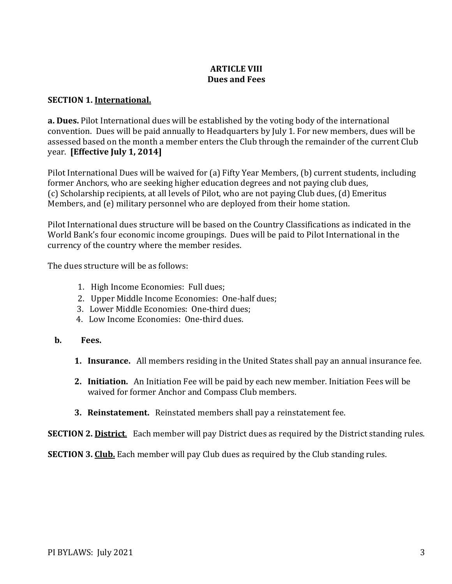## **ARTICLE VIII Dues and Fees**

# **SECTION 1. International.**

**a. Dues.** Pilot International dues will be established by the voting body of the international convention. Dues will be paid annually to Headquarters by July 1. For new members, dues will be assessed based on the month a member enters the Club through the remainder of the current Club year. **[Effective July 1, 2014]**

Pilot International Dues will be waived for (a) Fifty Year Members, (b) current students, including former Anchors, who are seeking higher education degrees and not paying club dues, (c) Scholarship recipients, at all levels of Pilot, who are not paying Club dues, (d) Emeritus Members, and (e) military personnel who are deployed from their home station.

Pilot International dues structure will be based on the Country Classifications as indicated in the World Bank's four economic income groupings. Dues will be paid to Pilot International in the currency of the country where the member resides.

The dues structure will be as follows:

- 1. High Income Economies: Full dues;
- 2. Upper Middle Income Economies: One-half dues;
- 3. Lower Middle Economies: One-third dues;
- 4. Low Income Economies: One-third dues.
- **b. Fees.**
	- **1. Insurance.** All members residing in the United States shall pay an annual insurance fee.
	- **2. Initiation.** An Initiation Fee will be paid by each new member. Initiation Fees will be waived for former Anchor and Compass Club members.
	- **3. Reinstatement.** Reinstated members shall pay a reinstatement fee.

**SECTION 2. District.** Each member will pay District dues as required by the District standing rules.

**SECTION 3. Club.** Each member will pay Club dues as required by the Club standing rules.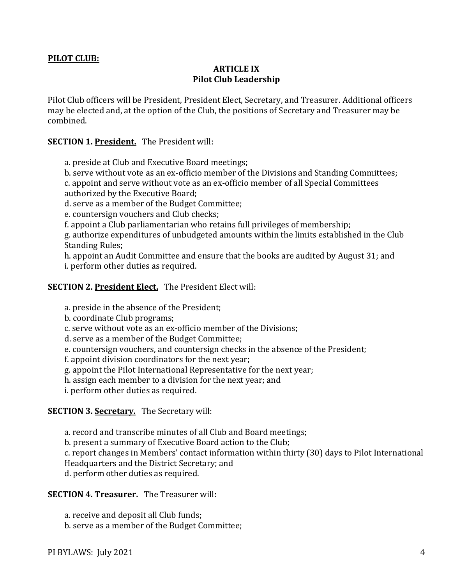#### **PILOT CLUB:**

### **ARTICLE IX Pilot Club Leadership**

Pilot Club officers will be President, President Elect, Secretary, and Treasurer. Additional officers may be elected and, at the option of the Club, the positions of Secretary and Treasurer may be combined.

#### **SECTION 1. President.** The President will:

a. preside at Club and Executive Board meetings;

b. serve without vote as an ex-officio member of the Divisions and Standing Committees;

c. appoint and serve without vote as an ex-officio member of all Special Committees authorized by the Executive Board;

d. serve as a member of the Budget Committee;

e. countersign vouchers and Club checks;

f. appoint a Club parliamentarian who retains full privileges of membership;

g. authorize expenditures of unbudgeted amounts within the limits established in the Club Standing Rules;

h. appoint an Audit Committee and ensure that the books are audited by August 31; and i. perform other duties as required.

#### **SECTION 2. President Elect.** The President Elect will:

a. preside in the absence of the President;

b. coordinate Club programs;

c. serve without vote as an ex-officio member of the Divisions;

d. serve as a member of the Budget Committee;

e. countersign vouchers, and countersign checks in the absence of the President;

f. appoint division coordinators for the next year;

g. appoint the Pilot International Representative for the next year;

h. assign each member to a division for the next year; and

i. perform other duties as required.

### **SECTION 3. Secretary.** The Secretary will:

a. record and transcribe minutes of all Club and Board meetings;

b. present a summary of Executive Board action to the Club;

c. report changes in Members' contact information within thirty (30) days to Pilot International

Headquarters and the District Secretary; and

d. perform other duties as required.

## **SECTION 4. Treasurer.** The Treasurer will:

a. receive and deposit all Club funds;

b. serve as a member of the Budget Committee;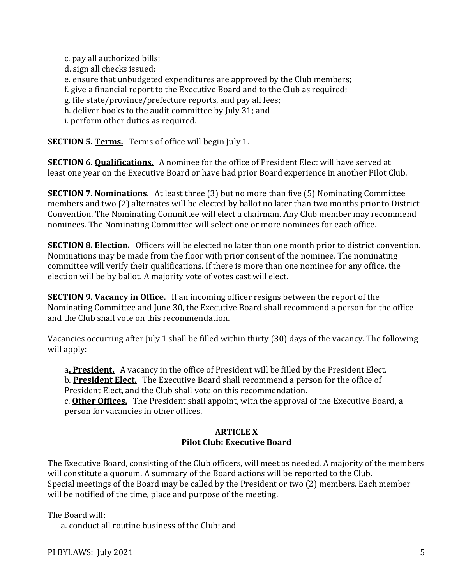c. pay all authorized bills;

d. sign all checks issued;

e. ensure that unbudgeted expenditures are approved by the Club members;

f. give a financial report to the Executive Board and to the Club as required;

g. file state/province/prefecture reports, and pay all fees;

h. deliver books to the audit committee by July 31; and

i. perform other duties as required.

**SECTION 5. Terms.** Terms of office will begin July 1.

**SECTION 6. Qualifications.** A nominee for the office of President Elect will have served at least one year on the Executive Board or have had prior Board experience in another Pilot Club.

**SECTION 7. Nominations**. At least three (3) but no more than five (5) Nominating Committee members and two (2) alternates will be elected by ballot no later than two months prior to District Convention. The Nominating Committee will elect a chairman. Any Club member may recommend nominees. The Nominating Committee will select one or more nominees for each office.

**SECTION 8. Election.** Officers will be elected no later than one month prior to district convention. Nominations may be made from the floor with prior consent of the nominee. The nominating committee will verify their qualifications. If there is more than one nominee for any office, the election will be by ballot. A majority vote of votes cast will elect.

**SECTION 9. Vacancy in Office.** If an incoming officer resigns between the report of the Nominating Committee and June 30, the Executive Board shall recommend a person for the office and the Club shall vote on this recommendation.

Vacancies occurring after July 1 shall be filled within thirty (30) days of the vacancy. The following will apply:

a**. President.** A vacancy in the office of President will be filled by the President Elect.

b. **President Elect.** The Executive Board shall recommend a person for the office of President Elect, and the Club shall vote on this recommendation.

c. **Other Offices.** The President shall appoint, with the approval of the Executive Board, a person for vacancies in other offices.

#### **ARTICLE X Pilot Club: Executive Board**

The Executive Board, consisting of the Club officers, will meet as needed. A majority of the members will constitute a quorum. A summary of the Board actions will be reported to the Club. Special meetings of the Board may be called by the President or two (2) members. Each member will be notified of the time, place and purpose of the meeting.

The Board will:

a. conduct all routine business of the Club; and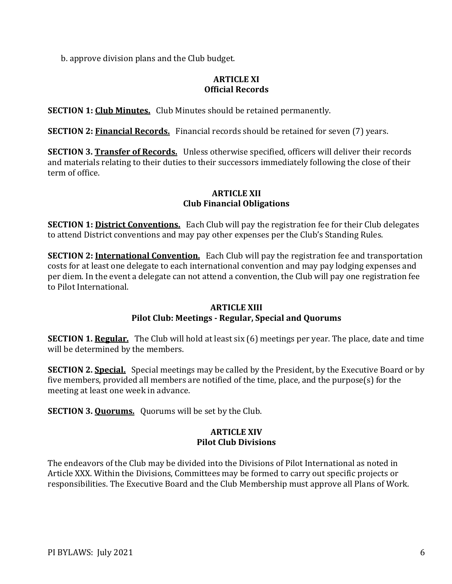b. approve division plans and the Club budget.

## **ARTICLE XI Official Records**

**SECTION 1: Club Minutes.** Club Minutes should be retained permanently.

**SECTION 2: Financial Records.** Financial records should be retained for seven (7) years.

**SECTION 3. Transfer of Records.** Unless otherwise specified, officers will deliver their records and materials relating to their duties to their successors immediately following the close of their term of office.

## **ARTICLE XII Club Financial Obligations**

**SECTION 1: District Conventions.** Each Club will pay the registration fee for their Club delegates to attend District conventions and may pay other expenses per the Club's Standing Rules.

**SECTION 2: International Convention.** Each Club will pay the registration fee and transportation costs for at least one delegate to each international convention and may pay lodging expenses and per diem. In the event a delegate can not attend a convention, the Club will pay one registration fee to Pilot International.

### **ARTICLE XIII**

# **Pilot Club: Meetings - Regular, Special and Quorums**

**SECTION 1. Regular.** The Club will hold at least six (6) meetings per year. The place, date and time will be determined by the members.

**SECTION 2. Special.** Special meetings may be called by the President, by the Executive Board or by five members, provided all members are notified of the time, place, and the purpose(s) for the meeting at least one week in advance.

**SECTION 3. Quorums.** Quorums will be set by the Club.

#### **ARTICLE XIV Pilot Club Divisions**

The endeavors of the Club may be divided into the Divisions of Pilot International as noted in Article XXX. Within the Divisions, Committees may be formed to carry out specific projects or responsibilities. The Executive Board and the Club Membership must approve all Plans of Work.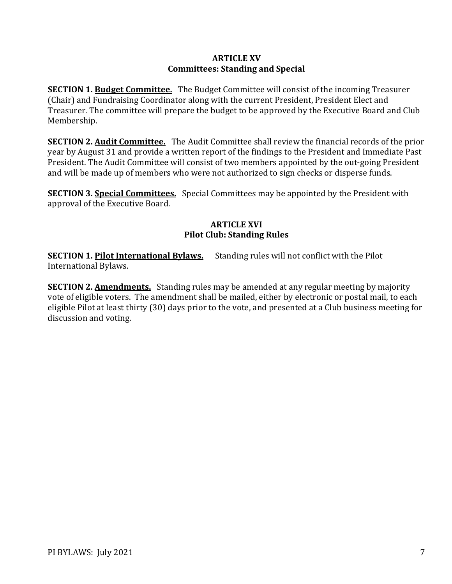### **ARTICLE XV Committees: Standing and Special**

**SECTION 1. Budget Committee.** The Budget Committee will consist of the incoming Treasurer (Chair) and Fundraising Coordinator along with the current President, President Elect and Treasurer. The committee will prepare the budget to be approved by the Executive Board and Club Membership.

**SECTION 2. Audit Committee.** The Audit Committee shall review the financial records of the prior year by August 31 and provide a written report of the findings to the President and Immediate Past President. The Audit Committee will consist of two members appointed by the out-going President and will be made up of members who were not authorized to sign checks or disperse funds.

**SECTION 3. Special Committees.** Special Committees may be appointed by the President with approval of the Executive Board.

#### **ARTICLE XVI Pilot Club: Standing Rules**

**SECTION 1. Pilot International Bylaws.** Standing rules will not conflict with the Pilot International Bylaws.

**SECTION 2. Amendments.** Standing rules may be amended at any regular meeting by majority vote of eligible voters. The amendment shall be mailed, either by electronic or postal mail, to each eligible Pilot at least thirty (30) days prior to the vote, and presented at a Club business meeting for discussion and voting.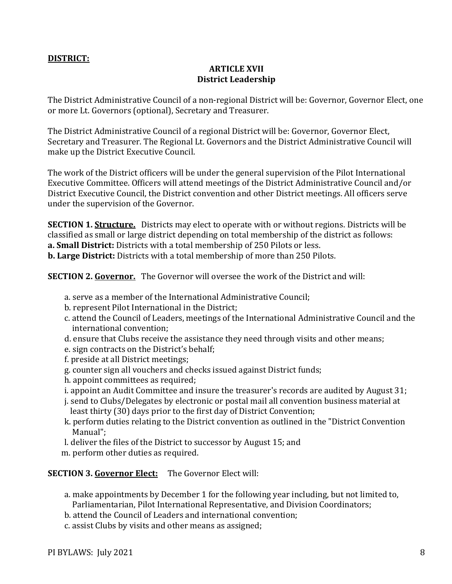## **DISTRICT:**

## **ARTICLE XVII District Leadership**

The District Administrative Council of a non-regional District will be: Governor, Governor Elect, one or more Lt. Governors (optional), Secretary and Treasurer.

The District Administrative Council of a regional District will be: Governor, Governor Elect, Secretary and Treasurer. The Regional Lt. Governors and the District Administrative Council will make up the District Executive Council.

The work of the District officers will be under the general supervision of the Pilot International Executive Committee. Officers will attend meetings of the District Administrative Council and/or District Executive Council, the District convention and other District meetings. All officers serve under the supervision of the Governor.

**SECTION 1. Structure.** Districts may elect to operate with or without regions. Districts will be classified as small or large district depending on total membership of the district as follows: **a. Small District:** Districts with a total membership of 250 Pilots or less.

**b. Large District:** Districts with a total membership of more than 250 Pilots.

**SECTION 2. Governor.** The Governor will oversee the work of the District and will:

- a. serve as a member of the International Administrative Council;
- b. represent Pilot International in the District;
- c. attend the Council of Leaders, meetings of the International Administrative Council and the international convention;
- d. ensure that Clubs receive the assistance they need through visits and other means;
- e. sign contracts on the District's behalf;
- f. preside at all District meetings;
- g. counter sign all vouchers and checks issued against District funds;
- h. appoint committees as required;
- i. appoint an Audit Committee and insure the treasurer's records are audited by August 31;
- j. send to Clubs/Delegates by electronic or postal mail all convention business material at least thirty (30) days prior to the first day of District Convention;
- k. perform duties relating to the District convention as outlined in the "District Convention Manual";
- l. deliver the files of the District to successor by August 15; and
- m. perform other duties as required.

**SECTION 3. Governor Elect:** The Governor Elect will:

- a. make appointments by December 1 for the following year including, but not limited to, Parliamentarian, Pilot International Representative, and Division Coordinators;
- b. attend the Council of Leaders and international convention;
- c. assist Clubs by visits and other means as assigned;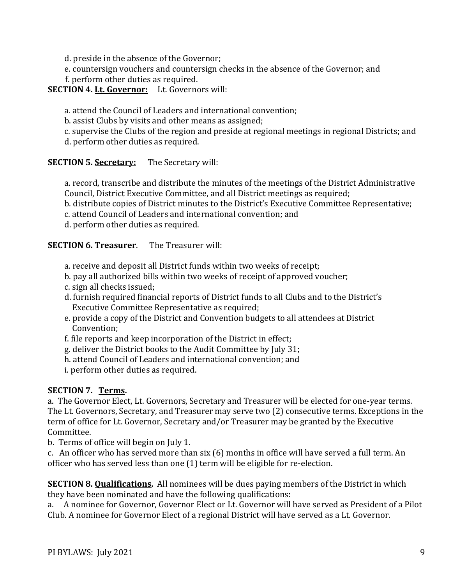d. preside in the absence of the Governor;

e. countersign vouchers and countersign checks in the absence of the Governor; and

f. perform other duties as required.

# **SECTION 4. Lt. Governor:** Lt. Governors will:

a. attend the Council of Leaders and international convention;

b. assist Clubs by visits and other means as assigned;

c. supervise the Clubs of the region and preside at regional meetings in regional Districts; and

d. perform other duties as required.

# **SECTION 5. Secretary:** The Secretary will:

a. record, transcribe and distribute the minutes of the meetings of the District Administrative Council, District Executive Committee, and all District meetings as required;

b. distribute copies of District minutes to the District's Executive Committee Representative;

c. attend Council of Leaders and international convention; and

d. perform other duties as required.

## **SECTION 6. Treasurer**. The Treasurer will:

- a. receive and deposit all District funds within two weeks of receipt;
- b. pay all authorized bills within two weeks of receipt of approved voucher;
- c. sign all checks issued;
- d. furnish required financial reports of District funds to all Clubs and to the District's Executive Committee Representative as required;
- e. provide a copy of the District and Convention budgets to all attendees at District Convention;
- f. file reports and keep incorporation of the District in effect;
- g. deliver the District books to the Audit Committee by July 31;
- h. attend Council of Leaders and international convention; and
- i. perform other duties as required.

### **SECTION 7. Terms.**

a. The Governor Elect, Lt. Governors, Secretary and Treasurer will be elected for one-year terms. The Lt. Governors, Secretary, and Treasurer may serve two (2) consecutive terms. Exceptions in the term of office for Lt. Governor, Secretary and/or Treasurer may be granted by the Executive Committee.

b. Terms of office will begin on July 1.

c. An officer who has served more than six (6) months in office will have served a full term. An officer who has served less than one (1) term will be eligible for re-election.

**SECTION 8. Qualifications.** All nominees will be dues paying members of the District in which they have been nominated and have the following qualifications:

a. A nominee for Governor, Governor Elect or Lt. Governor will have served as President of a Pilot Club. A nominee for Governor Elect of a regional District will have served as a Lt. Governor.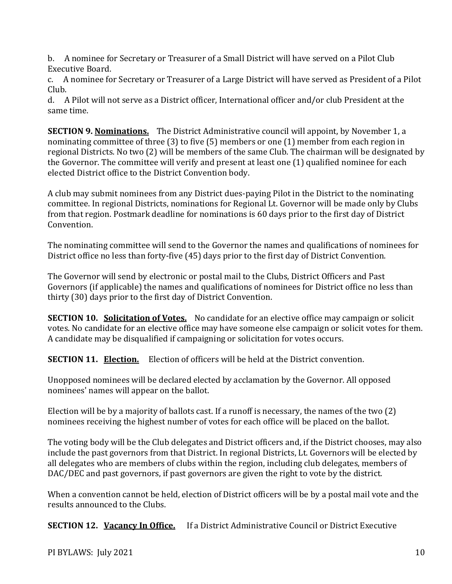b. A nominee for Secretary or Treasurer of a Small District will have served on a Pilot Club Executive Board.

c. A nominee for Secretary or Treasurer of a Large District will have served as President of a Pilot Club.

d. A Pilot will not serve as a District officer, International officer and/or club President at the same time.

**SECTION 9. Nominations.** The District Administrative council will appoint, by November 1, a nominating committee of three (3) to five (5) members or one (1) member from each region in regional Districts. No two (2) will be members of the same Club. The chairman will be designated by the Governor. The committee will verify and present at least one (1) qualified nominee for each elected District office to the District Convention body.

A club may submit nominees from any District dues-paying Pilot in the District to the nominating committee. In regional Districts, nominations for Regional Lt. Governor will be made only by Clubs from that region. Postmark deadline for nominations is 60 days prior to the first day of District Convention.

The nominating committee will send to the Governor the names and qualifications of nominees for District office no less than forty-five (45) days prior to the first day of District Convention.

The Governor will send by electronic or postal mail to the Clubs, District Officers and Past Governors (if applicable) the names and qualifications of nominees for District office no less than thirty (30) days prior to the first day of District Convention.

**SECTION 10. Solicitation of Votes.** No candidate for an elective office may campaign or solicit votes. No candidate for an elective office may have someone else campaign or solicit votes for them. A candidate may be disqualified if campaigning or solicitation for votes occurs.

**SECTION 11. Election.** Election of officers will be held at the District convention.

Unopposed nominees will be declared elected by acclamation by the Governor. All opposed nominees' names will appear on the ballot.

Election will be by a majority of ballots cast. If a runoff is necessary, the names of the two (2) nominees receiving the highest number of votes for each office will be placed on the ballot.

The voting body will be the Club delegates and District officers and, if the District chooses, may also include the past governors from that District. In regional Districts, Lt. Governors will be elected by all delegates who are members of clubs within the region, including club delegates, members of DAC/DEC and past governors, if past governors are given the right to vote by the district.

When a convention cannot be held, election of District officers will be by a postal mail vote and the results announced to the Clubs.

**SECTION 12. Vacancy In Office.** If a District Administrative Council or District Executive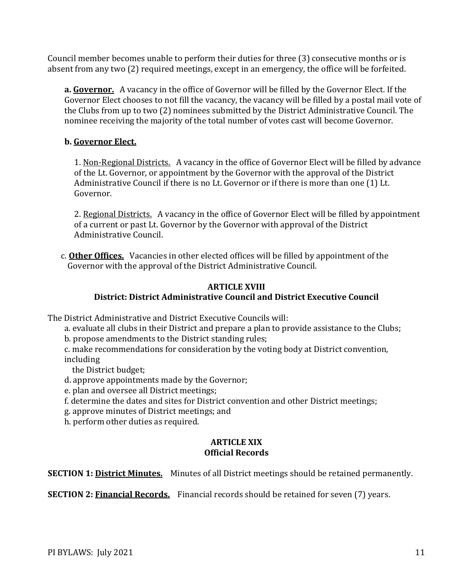Council member becomes unable to perform their duties for three (3) consecutive months or is absent from any two (2) required meetings, except in an emergency, the office will be forfeited.

**a. Governor.** A vacancy in the office of Governor will be filled by the Governor Elect. If the Governor Elect chooses to not fill the vacancy, the vacancy will be filled by a postal mail vote of the Clubs from up to two (2) nominees submitted by the District Administrative Council. The nominee receiving the majority of the total number of votes cast will become Governor.

# **b. Governor Elect.**

1. Non-Regional Districts. A vacancy in the office of Governor Elect will be filled by advance of the Lt. Governor, or appointment by the Governor with the approval of the District Administrative Council if there is no Lt. Governor or if there is more than one (1) Lt. Governor.

2. Regional Districts. A vacancy in the office of Governor Elect will be filled by appointment of a current or past Lt. Governor by the Governor with approval of the District Administrative Council.

c. **Other Offices.** Vacancies in other elected offices will be filled by appointment of the Governor with the approval of the District Administrative Council.

## **ARTICLE XVIII District: District Administrative Council and District Executive Council**

The District Administrative and District Executive Councils will:

- a. evaluate all clubs in their District and prepare a plan to provide assistance to the Clubs;
- b. propose amendments to the District standing rules;
- c. make recommendations for consideration by the voting body at District convention, including

the District budget;

- d. approve appointments made by the Governor;
- e. plan and oversee all District meetings;
- f. determine the dates and sites for District convention and other District meetings;
- g. approve minutes of District meetings; and
- h. perform other duties as required.

## **ARTICLE XIX Official Records**

**SECTION 1: District Minutes.** Minutes of all District meetings should be retained permanently.

**SECTION 2: Financial Records.** Financial records should be retained for seven (7) years.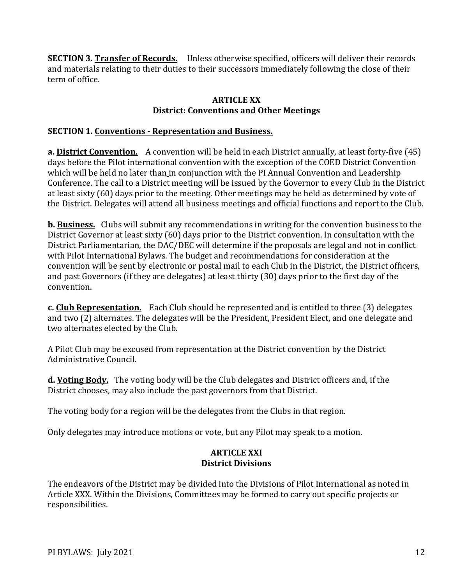**SECTION 3. Transfer of Records.** Unless otherwise specified, officers will deliver their records and materials relating to their duties to their successors immediately following the close of their term of office.

### **ARTICLE XX District: Conventions and Other Meetings**

# **SECTION 1. Conventions - Representation and Business.**

**a. District Convention.** A convention will be held in each District annually, at least forty-five (45) days before the Pilot international convention with the exception of the COED District Convention which will be held no later than in conjunction with the PI Annual Convention and Leadership Conference. The call to a District meeting will be issued by the Governor to every Club in the District at least sixty (60) days prior to the meeting. Other meetings may be held as determined by vote of the District. Delegates will attend all business meetings and official functions and report to the Club.

**b. Business.** Clubs will submit any recommendations in writing for the convention business to the District Governor at least sixty (60) days prior to the District convention. In consultation with the District Parliamentarian, the DAC/DEC will determine if the proposals are legal and not in conflict with Pilot International Bylaws. The budget and recommendations for consideration at the convention will be sent by electronic or postal mail to each Club in the District, the District officers, and past Governors (if they are delegates) at least thirty (30) days prior to the first day of the convention.

**c. Club Representation.** Each Club should be represented and is entitled to three (3) delegates and two (2) alternates. The delegates will be the President, President Elect, and one delegate and two alternates elected by the Club.

A Pilot Club may be excused from representation at the District convention by the District Administrative Council.

**d. Voting Body.** The voting body will be the Club delegates and District officers and, if the District chooses, may also include the past governors from that District.

The voting body for a region will be the delegates from the Clubs in that region.

Only delegates may introduce motions or vote, but any Pilot may speak to a motion.

### **ARTICLE XXI District Divisions**

The endeavors of the District may be divided into the Divisions of Pilot International as noted in Article XXX. Within the Divisions, Committees may be formed to carry out specific projects or responsibilities.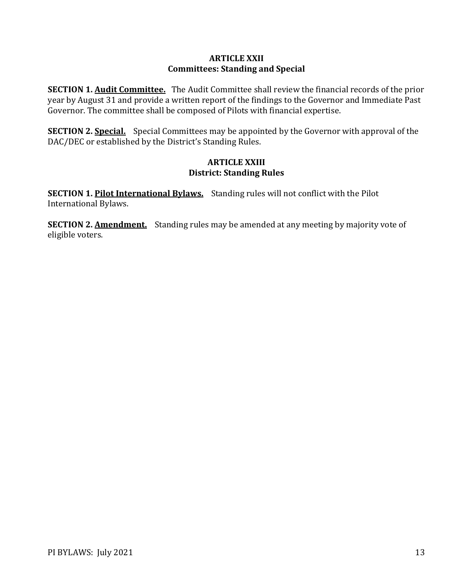### **ARTICLE XXII Committees: Standing and Special**

**SECTION 1. Audit Committee.** The Audit Committee shall review the financial records of the prior year by August 31 and provide a written report of the findings to the Governor and Immediate Past Governor. The committee shall be composed of Pilots with financial expertise.

**SECTION 2. Special.** Special Committees may be appointed by the Governor with approval of the DAC/DEC or established by the District's Standing Rules.

### **ARTICLE XXIII District: Standing Rules**

**SECTION 1. Pilot International Bylaws.** Standing rules will not conflict with the Pilot International Bylaws.

**SECTION 2. Amendment.** Standing rules may be amended at any meeting by majority vote of eligible voters.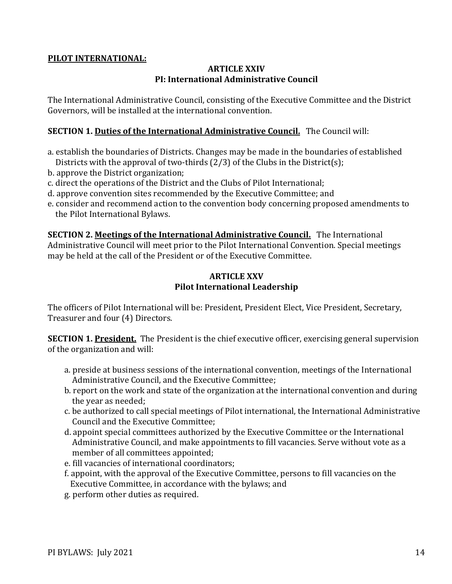### **PILOT INTERNATIONAL:**

## **ARTICLE XXIV PI: International Administrative Council**

The International Administrative Council, consisting of the Executive Committee and the District Governors, will be installed at the international convention.

### **SECTION 1. Duties of the International Administrative Council.** The Council will:

- a. establish the boundaries of Districts. Changes may be made in the boundaries of established Districts with the approval of two-thirds (2/3) of the Clubs in the District(s);
- b. approve the District organization;
- c. direct the operations of the District and the Clubs of Pilot International;
- d. approve convention sites recommended by the Executive Committee; and
- e. consider and recommend action to the convention body concerning proposed amendments to the Pilot International Bylaws.

**SECTION 2. Meetings of the International Administrative Council.** The International Administrative Council will meet prior to the Pilot International Convention. Special meetings may be held at the call of the President or of the Executive Committee.

## **ARTICLE XXV Pilot International Leadership**

The officers of Pilot International will be: President, President Elect, Vice President, Secretary, Treasurer and four (4) Directors.

**SECTION 1. President.** The President is the chief executive officer, exercising general supervision of the organization and will:

- a. preside at business sessions of the international convention, meetings of the International Administrative Council, and the Executive Committee;
- b. report on the work and state of the organization at the international convention and during the year as needed;
- c. be authorized to call special meetings of Pilot international, the International Administrative Council and the Executive Committee;
- d. appoint special committees authorized by the Executive Committee or the International Administrative Council, and make appointments to fill vacancies. Serve without vote as a member of all committees appointed;
- e. fill vacancies of international coordinators;
- f. appoint, with the approval of the Executive Committee, persons to fill vacancies on the Executive Committee, in accordance with the bylaws; and
- g. perform other duties as required.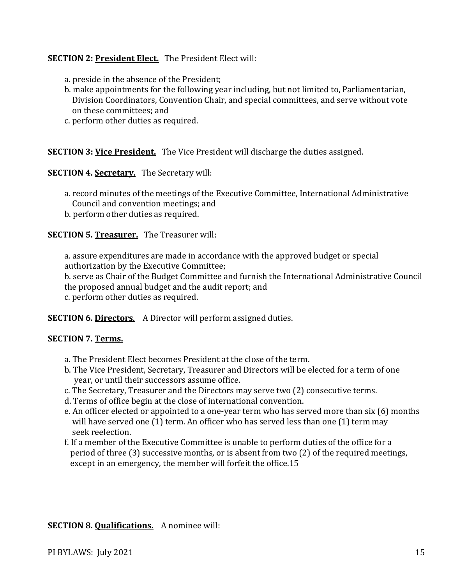## **SECTION 2: President Elect.** The President Elect will:

- a. preside in the absence of the President;
- b. make appointments for the following year including, but not limited to, Parliamentarian, Division Coordinators, Convention Chair, and special committees, and serve without vote on these committees; and
- c. perform other duties as required.

### **SECTION 3: Vice President.** The Vice President will discharge the duties assigned.

#### **SECTION 4. Secretary.** The Secretary will:

- a. record minutes of the meetings of the Executive Committee, International Administrative Council and convention meetings; and
- b. perform other duties as required.

#### **SECTION 5. Treasurer.** The Treasurer will:

a. assure expenditures are made in accordance with the approved budget or special authorization by the Executive Committee;

b. serve as Chair of the Budget Committee and furnish the International Administrative Council the proposed annual budget and the audit report; and

c. perform other duties as required.

**SECTION 6. Directors**. A Director will perform assigned duties.

### **SECTION 7. Terms.**

- a. The President Elect becomes President at the close of the term.
- b. The Vice President, Secretary, Treasurer and Directors will be elected for a term of one year, or until their successors assume office.
- c. The Secretary, Treasurer and the Directors may serve two (2) consecutive terms.
- d. Terms of office begin at the close of international convention.
- e. An officer elected or appointed to a one-year term who has served more than six (6) months will have served one (1) term. An officer who has served less than one (1) term may seek reelection.
- f. If a member of the Executive Committee is unable to perform duties of the office for a period of three (3) successive months, or is absent from two (2) of the required meetings, except in an emergency, the member will forfeit the office.15

### **SECTION 8. Qualifications.** A nominee will: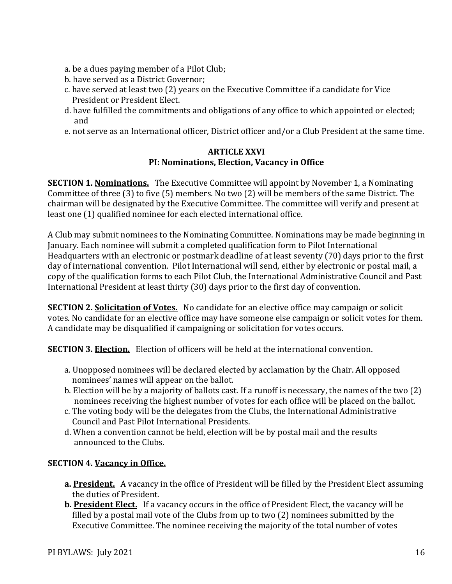- a. be a dues paying member of a Pilot Club;
- b. have served as a District Governor;
- c. have served at least two (2) years on the Executive Committee if a candidate for Vice President or President Elect.
- d. have fulfilled the commitments and obligations of any office to which appointed or elected; and
- e. not serve as an International officer, District officer and/or a Club President at the same time.

### **ARTICLE XXVI PI: Nominations, Election, Vacancy in Office**

**SECTION 1. Nominations.** The Executive Committee will appoint by November 1, a Nominating Committee of three (3) to five (5) members. No two (2) will be members of the same District. The chairman will be designated by the Executive Committee. The committee will verify and present at least one (1) qualified nominee for each elected international office.

A Club may submit nominees to the Nominating Committee. Nominations may be made beginning in January. Each nominee will submit a completed qualification form to Pilot International Headquarters with an electronic or postmark deadline of at least seventy (70) days prior to the first day of international convention. Pilot International will send, either by electronic or postal mail, a copy of the qualification forms to each Pilot Club, the International Administrative Council and Past International President at least thirty (30) days prior to the first day of convention.

**SECTION 2. Solicitation of Votes.** No candidate for an elective office may campaign or solicit votes. No candidate for an elective office may have someone else campaign or solicit votes for them. A candidate may be disqualified if campaigning or solicitation for votes occurs.

**SECTION 3. Election.** Election of officers will be held at the international convention.

- a. Unopposed nominees will be declared elected by acclamation by the Chair. All opposed nominees' names will appear on the ballot.
- b. Election will be by a majority of ballots cast. If a runoff is necessary, the names of the two (2) nominees receiving the highest number of votes for each office will be placed on the ballot.
- c. The voting body will be the delegates from the Clubs, the International Administrative Council and Past Pilot International Presidents.
- d. When a convention cannot be held, election will be by postal mail and the results announced to the Clubs.

# **SECTION 4. Vacancy in Office.**

- **a. President.** A vacancy in the office of President will be filled by the President Elect assuming the duties of President.
- **b. President Elect.** If a vacancy occurs in the office of President Elect, the vacancy will be filled by a postal mail vote of the Clubs from up to two (2) nominees submitted by the Executive Committee. The nominee receiving the majority of the total number of votes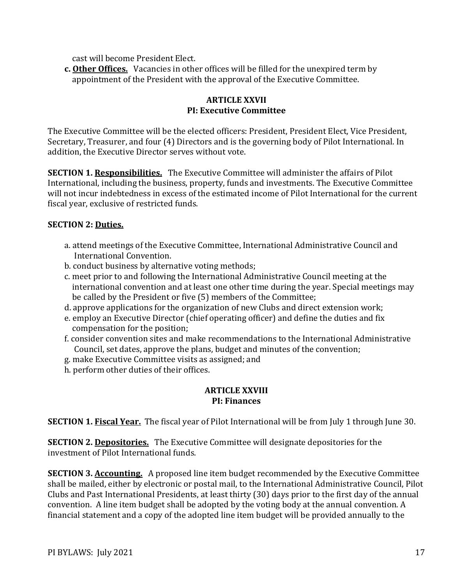cast will become President Elect.

**c. Other Offices.** Vacancies in other offices will be filled for the unexpired term by appointment of the President with the approval of the Executive Committee.

## **ARTICLE XXVII PI: Executive Committee**

The Executive Committee will be the elected officers: President, President Elect, Vice President, Secretary, Treasurer, and four (4) Directors and is the governing body of Pilot International. In addition, the Executive Director serves without vote.

**SECTION 1. Responsibilities.** The Executive Committee will administer the affairs of Pilot International, including the business, property, funds and investments. The Executive Committee will not incur indebtedness in excess of the estimated income of Pilot International for the current fiscal year, exclusive of restricted funds.

# **SECTION 2: Duties.**

- a. attend meetings of the Executive Committee, International Administrative Council and International Convention.
- b. conduct business by alternative voting methods;
- c. meet prior to and following the International Administrative Council meeting at the international convention and at least one other time during the year. Special meetings may be called by the President or five (5) members of the Committee;
- d. approve applications for the organization of new Clubs and direct extension work;
- e. employ an Executive Director (chief operating officer) and define the duties and fix compensation for the position;
- f. consider convention sites and make recommendations to the International Administrative Council, set dates, approve the plans, budget and minutes of the convention;
- g. make Executive Committee visits as assigned; and
- h. perform other duties of their offices.

### **ARTICLE XXVIII PI: Finances**

**SECTION 1. Fiscal Year.** The fiscal year of Pilot International will be from July 1 through June 30.

**SECTION 2. Depositories.** The Executive Committee will designate depositories for the investment of Pilot International funds.

**SECTION 3. Accounting.** A proposed line item budget recommended by the Executive Committee shall be mailed, either by electronic or postal mail, to the International Administrative Council, Pilot Clubs and Past International Presidents, at least thirty (30) days prior to the first day of the annual convention. A line item budget shall be adopted by the voting body at the annual convention. A financial statement and a copy of the adopted line item budget will be provided annually to the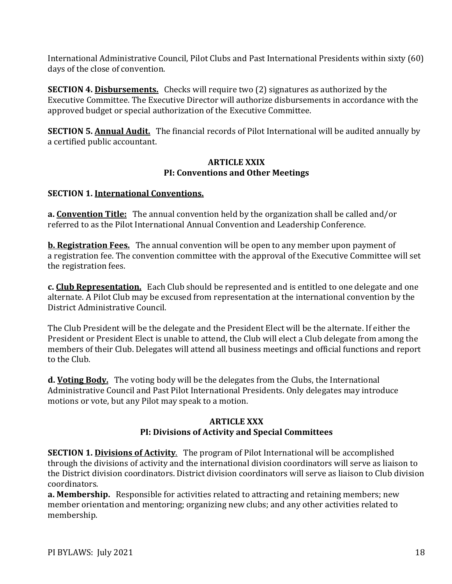International Administrative Council, Pilot Clubs and Past International Presidents within sixty (60) days of the close of convention.

**SECTION 4. Disbursements.** Checks will require two (2) signatures as authorized by the Executive Committee. The Executive Director will authorize disbursements in accordance with the approved budget or special authorization of the Executive Committee.

**SECTION 5. Annual Audit.** The financial records of Pilot International will be audited annually by a certified public accountant.

### **ARTICLE XXIX PI: Conventions and Other Meetings**

# **SECTION 1. International Conventions.**

**a. Convention Title:** The annual convention held by the organization shall be called and/or referred to as the Pilot International Annual Convention and Leadership Conference.

**b. Registration Fees.** The annual convention will be open to any member upon payment of a registration fee. The convention committee with the approval of the Executive Committee will set the registration fees.

**c. Club Representation.** Each Club should be represented and is entitled to one delegate and one alternate. A Pilot Club may be excused from representation at the international convention by the District Administrative Council.

The Club President will be the delegate and the President Elect will be the alternate. If either the President or President Elect is unable to attend, the Club will elect a Club delegate from among the members of their Club. Delegates will attend all business meetings and official functions and report to the Club.

**d. Voting Body.** The voting body will be the delegates from the Clubs, the International Administrative Council and Past Pilot International Presidents. Only delegates may introduce motions or vote, but any Pilot may speak to a motion.

## **ARTICLE XXX PI: Divisions of Activity and Special Committees**

**SECTION 1. Divisions of Activity**. The program of Pilot International will be accomplished through the divisions of activity and the international division coordinators will serve as liaison to the District division coordinators. District division coordinators will serve as liaison to Club division coordinators.

**a. Membership.** Responsible for activities related to attracting and retaining members; new member orientation and mentoring; organizing new clubs; and any other activities related to membership.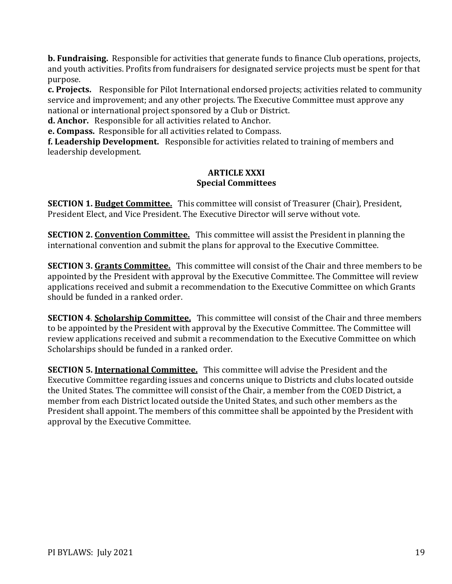**b. Fundraising.** Responsible for activities that generate funds to finance Club operations, projects, and youth activities. Profits from fundraisers for designated service projects must be spent for that purpose.

**c. Projects.** Responsible for Pilot International endorsed projects; activities related to community service and improvement; and any other projects. The Executive Committee must approve any national or international project sponsored by a Club or District.

**d. Anchor.** Responsible for all activities related to Anchor.

**e. Compass.** Responsible for all activities related to Compass.

**f. Leadership Development.** Responsible for activities related to training of members and leadership development.

#### **ARTICLE XXXI Special Committees**

**SECTION 1. Budget Committee.** This committee will consist of Treasurer (Chair), President, President Elect, and Vice President. The Executive Director will serve without vote.

**SECTION 2. Convention Committee.** This committee will assist the President in planning the international convention and submit the plans for approval to the Executive Committee.

**SECTION 3. Grants Committee.** This committee will consist of the Chair and three members to be appointed by the President with approval by the Executive Committee. The Committee will review applications received and submit a recommendation to the Executive Committee on which Grants should be funded in a ranked order.

**SECTION 4**. **Scholarship Committee.** This committee will consist of the Chair and three members to be appointed by the President with approval by the Executive Committee. The Committee will review applications received and submit a recommendation to the Executive Committee on which Scholarships should be funded in a ranked order.

**SECTION 5. International Committee.** This committee will advise the President and the Executive Committee regarding issues and concerns unique to Districts and clubs located outside the United States. The committee will consist of the Chair, a member from the COED District, a member from each District located outside the United States, and such other members as the President shall appoint. The members of this committee shall be appointed by the President with approval by the Executive Committee.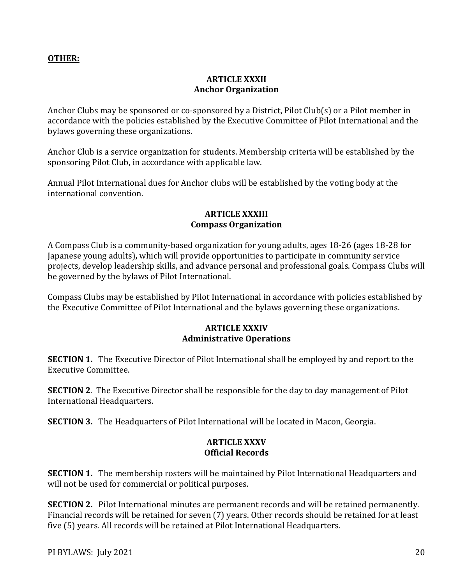## **OTHER:**

## **ARTICLE XXXII Anchor Organization**

Anchor Clubs may be sponsored or co-sponsored by a District, Pilot Club(s) or a Pilot member in accordance with the policies established by the Executive Committee of Pilot International and the bylaws governing these organizations.

Anchor Club is a service organization for students. Membership criteria will be established by the sponsoring Pilot Club, in accordance with applicable law.

Annual Pilot International dues for Anchor clubs will be established by the voting body at the international convention.

#### **ARTICLE XXXIII Compass Organization**

A Compass Club is a community-based organization for young adults, ages 18-26 (ages 18-28 for Japanese young adults)**,** which will provide opportunities to participate in community service projects, develop leadership skills, and advance personal and professional goals. Compass Clubs will be governed by the bylaws of Pilot International.

Compass Clubs may be established by Pilot International in accordance with policies established by the Executive Committee of Pilot International and the bylaws governing these organizations.

### **ARTICLE XXXIV Administrative Operations**

**SECTION 1.** The Executive Director of Pilot International shall be employed by and report to the Executive Committee.

**SECTION 2**. The Executive Director shall be responsible for the day to day management of Pilot International Headquarters.

**SECTION 3.** The Headquarters of Pilot International will be located in Macon, Georgia.

# **ARTICLE XXXV Official Records**

**SECTION 1.** The membership rosters will be maintained by Pilot International Headquarters and will not be used for commercial or political purposes.

**SECTION 2.** Pilot International minutes are permanent records and will be retained permanently. Financial records will be retained for seven (7) years. Other records should be retained for at least five (5) years. All records will be retained at Pilot International Headquarters.